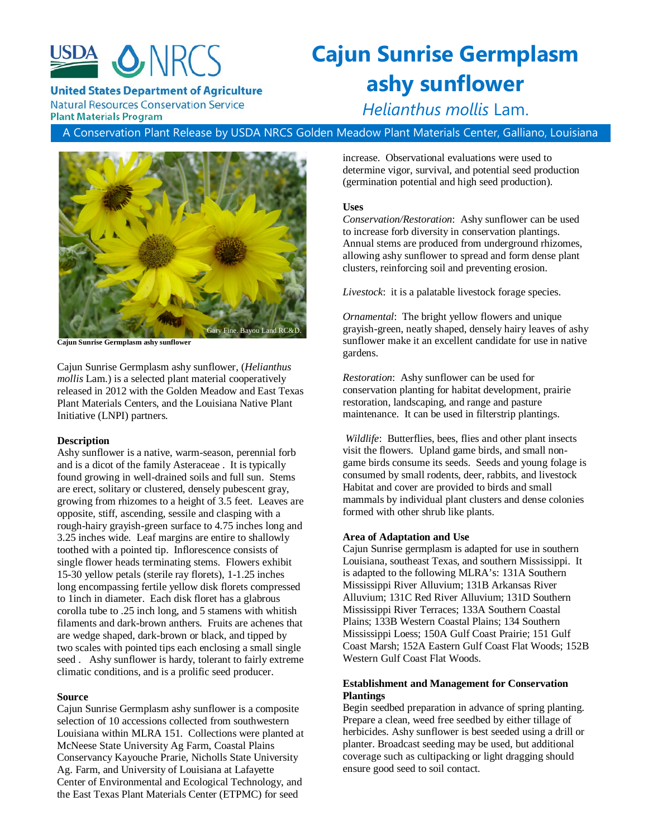

# **Cajun Sunrise Germplasm ashy sunflower**

**United States Department of Agriculture** 

**Natural Resources Conservation Service Plant Materials Program** 

*Helianthus mollis* Lam.

A Conservation Plant Release by USDA NRCS Golden Meadow Plant Materials Center, Galliano, Louisiana



**Cajun Sunrise Germplasm ashy sunflower**

Cajun Sunrise Germplasm ashy sunflower, (*Helianthus mollis* Lam.) is a selected plant material cooperatively released in 2012 with the Golden Meadow and East Texas Plant Materials Centers, and the Louisiana Native Plant Initiative (LNPI) partners.

# **Description**

Ashy sunflower is a native, warm-season, perennial forb and is a dicot of the family Asteraceae . It is typically found growing in well-drained soils and full sun. Stems are erect, solitary or clustered, densely pubescent gray, growing from rhizomes to a height of 3.5 feet. Leaves are opposite, stiff, ascending, sessile and clasping with a rough-hairy grayish-green surface to 4.75 inches long and 3.25 inches wide. Leaf margins are entire to shallowly toothed with a pointed tip. Inflorescence consists of single flower heads terminating stems. Flowers exhibit 15-30 yellow petals (sterile ray florets), 1-1.25 inches long encompassing fertile yellow disk florets compressed to 1inch in diameter. Each disk floret has a glabrous corolla tube to .25 inch long, and 5 stamens with whitish filaments and dark-brown anthers. Fruits are achenes that are wedge shaped, dark-brown or black, and tipped by two scales with pointed tips each enclosing a small single seed . Ashy sunflower is hardy, tolerant to fairly extreme climatic conditions, and is a prolific seed producer.

# **Source**

Cajun Sunrise Germplasm ashy sunflower is a composite selection of 10 accessions collected from southwestern Louisiana within MLRA 151. Collections were planted at McNeese State University Ag Farm, Coastal Plains Conservancy Kayouche Prarie, Nicholls State University Ag. Farm, and University of Louisiana at Lafayette Center of Environmental and Ecological Technology, and the East Texas Plant Materials Center (ETPMC) for seed

increase. Observational evaluations were used to determine vigor, survival, and potential seed production (germination potential and high seed production).

# **Uses**

*Conservation/Restoration*: Ashy sunflower can be used to increase forb diversity in conservation plantings. Annual stems are produced from underground rhizomes, allowing ashy sunflower to spread and form dense plant clusters, reinforcing soil and preventing erosion.

*Livestock*: it is a palatable livestock forage species.

*Ornamental*: The bright yellow flowers and unique grayish-green, neatly shaped, densely hairy leaves of ashy sunflower make it an excellent candidate for use in native gardens.

*Restoration*: Ashy sunflower can be used for conservation planting for habitat development, prairie restoration, landscaping, and range and pasture maintenance. It can be used in filterstrip plantings.

*Wildlife*: Butterflies, bees, flies and other plant insects visit the flowers. Upland game birds, and small nongame birds consume its seeds. Seeds and young folage is consumed by small rodents, deer, rabbits, and livestock Habitat and cover are provided to birds and small mammals by individual plant clusters and dense colonies formed with other shrub like plants.

# **Area of Adaptation and Use**

Cajun Sunrise germplasm is adapted for use in southern Louisiana, southeast Texas, and southern Mississippi. It is adapted to the following MLRA's: 131A Southern Mississippi River Alluvium; 131B Arkansas River Alluvium; 131C Red River Alluvium; 131D Southern Mississippi River Terraces; 133A Southern Coastal Plains; 133B Western Coastal Plains; 134 Southern Mississippi Loess; 150A Gulf Coast Prairie; 151 Gulf Coast Marsh; 152A Eastern Gulf Coast Flat Woods; 152B Western Gulf Coast Flat Woods.

# **Establishment and Management for Conservation Plantings**

Begin seedbed preparation in advance of spring planting. Prepare a clean, weed free seedbed by either tillage of herbicides. Ashy sunflower is best seeded using a drill or planter. Broadcast seeding may be used, but additional coverage such as cultipacking or light dragging should ensure good seed to soil contact.